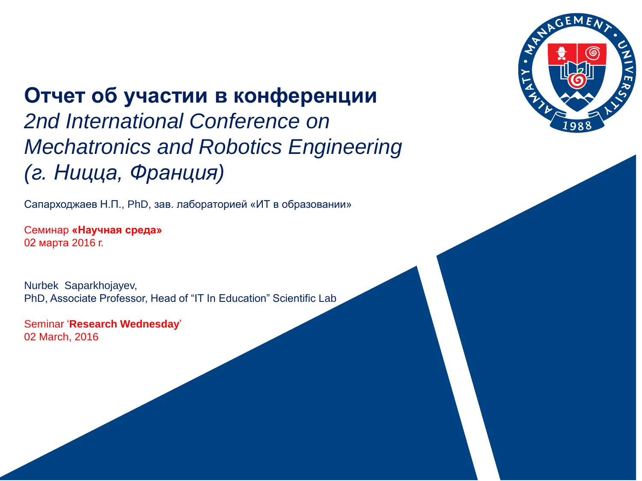

#### **Отчет об участии в конференции**

*2nd International Conference on Mechatronics and Robotics Engineering (г. Ницца, Франция)*

Сапарходжаев Н.П., PhD, зав. лабораторией «ИТ в образовании»

Cеминар **«Научная среда»** 02 марта 2016 г.

Nurbek Saparkhojayev, PhD, Associate Professor, Head of "IT In Education" Scientific Lab

Seminar '**Research Wednesday**' 02 March, 2016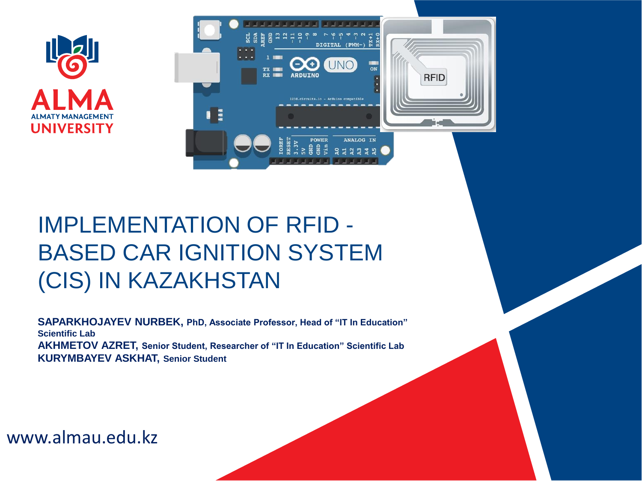



#### IMPLEMENTATION OF RFID - BASED CAR IGNITION SYSTEM (CIS) IN KAZAKHSTAN

**SAPARKHOJAYEV NURBEK, PhD, Associate Professor, Head of "IT In Education" Scientific Lab AKHMETOV AZRET, Senior Student, Researcher of "IT In Education" Scientific Lab KURYMBAYEV ASKHAT, Senior Student**

www.almau.edu.kz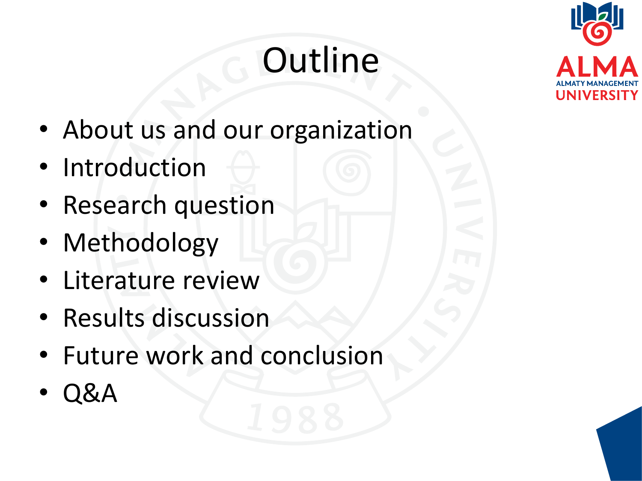# **Outline**



- About us and our organization
- Introduction
- Research question
- Methodology
- Literature review
- Results discussion
- Future work and conclusion
- Q&A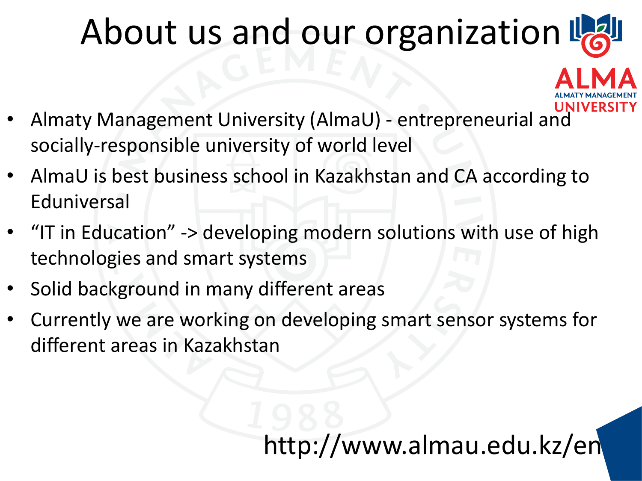## About us and our organization L

- Almaty Management University (AlmaU) entrepreneurial and socially-responsible university of world level
- AlmaU is best business school in Kazakhstan and CA according to Eduniversal
- "IT in Education" -> developing modern solutions with use of high technologies and smart systems
- Solid background in many different areas
- Currently we are working on developing smart sensor systems for different areas in Kazakhstan

#### $\overline{1}$ http://www.almau.edu.kz/en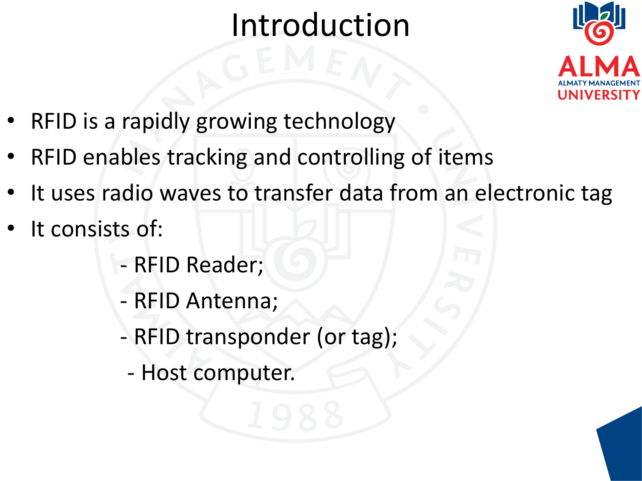### Introduction



- RFID is a rapidly growing technology
- RFID enables tracking and controlling of items
- It uses radio waves to transfer data from an electronic tag
- It consists of:
	- RFID Reader;
	- RFID Antenna;
	- RFID transponder (or tag);
		- Host computer.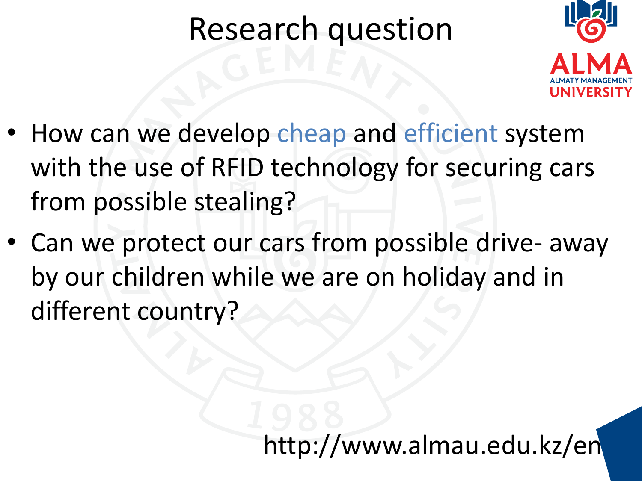#### Research question



- How can we develop cheap and efficient system with the use of RFID technology for securing cars from possible stealing?
- Can we protect our cars from possible drive- away by our children while we are on holiday and in different country?

6 http://www.almau.edu.kz/en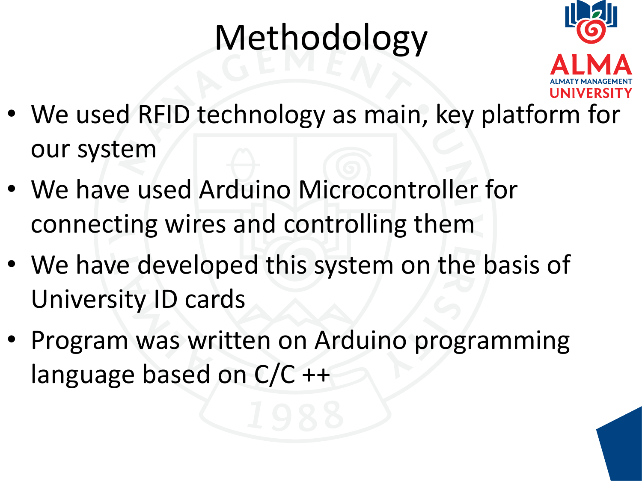# Methodology



- We used RFID technology as main, key platform for our system
- We have used Arduino Microcontroller for connecting wires and controlling them
- We have developed this system on the basis of University ID cards
- Program was written on Arduino programming language based on C/C ++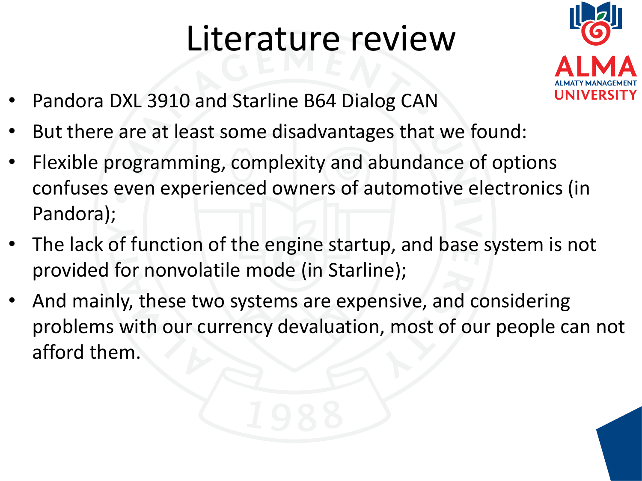## Literature review



- Pandora DXL 3910 and Starline B64 Dialog CAN
- But there are at least some disadvantages that we found:
- Flexible programming, complexity and abundance of options confuses even experienced owners of automotive electronics (in Pandora);
- The lack of function of the engine startup, and base system is not provided for nonvolatile mode (in Starline);
- And mainly, these two systems are expensive, and considering problems with our currency devaluation, most of our people can not afford them.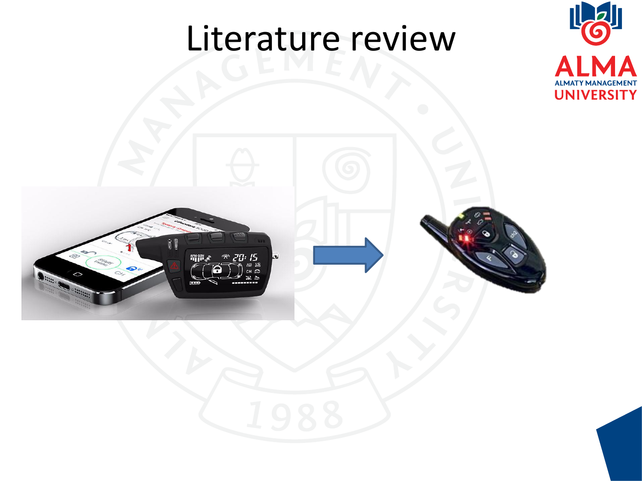### Literature review



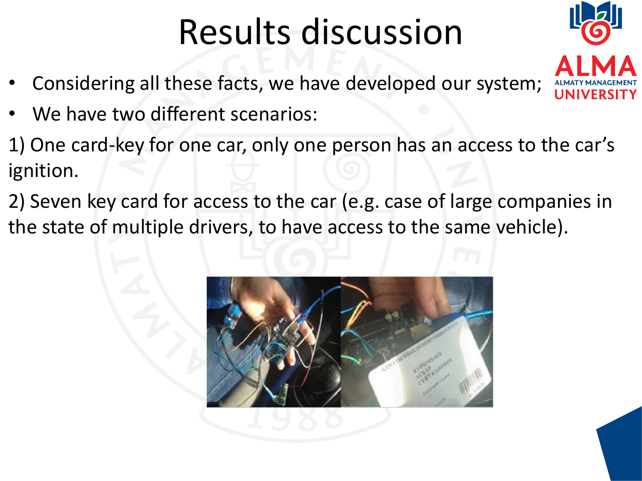## Results discussion

- Considering all these facts, we have developed our system;
- We have two different scenarios:
- 1) One card-key for one car, only one person has an access to the car's ignition.
- 2) Seven key card for access to the car (e.g. case of large companies in the state of multiple drivers, to have access to the same vehicle).



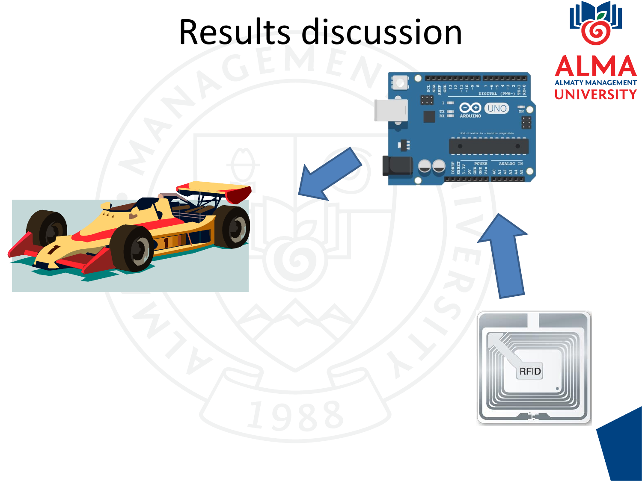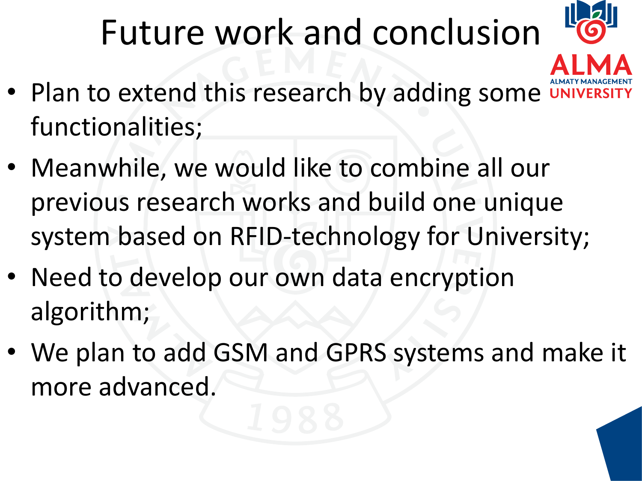# Future work and conclusion



- Plan to extend this research by adding some functionalities;
- Meanwhile, we would like to combine all our previous research works and build one unique system based on RFID-technology for University;
- Need to develop our own data encryption algorithm;
- We plan to add GSM and GPRS systems and make it more advanced.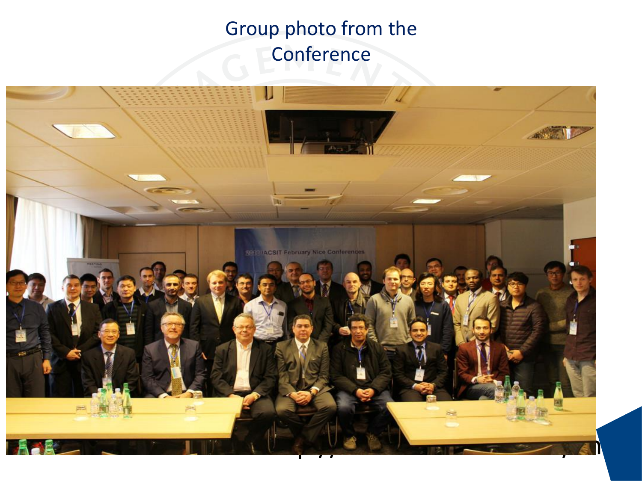#### Group photo from the **Conference**